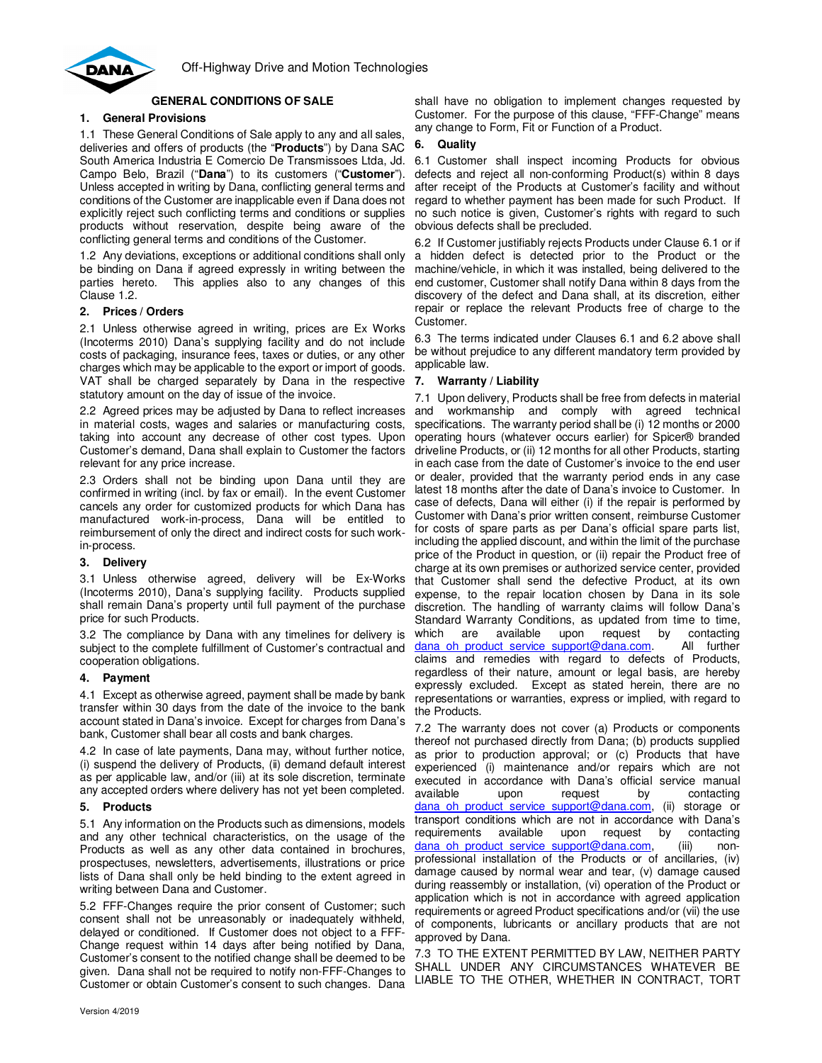

# **GENERAL CONDITIONS OF SALE**

# **1. General Provisions**

1.1 These General Conditions of Sale apply to any and all sales, deliveries and offers of products (the "**Products**") by Dana SAC South America Industria E Comercio De Transmissoes Ltda, Jd. Campo Belo, Brazil ("**Dana**") to its customers ("**Customer**"). Unless accepted in writing by Dana, conflicting general terms and conditions of the Customer are inapplicable even if Dana does not explicitly reject such conflicting terms and conditions or supplies products without reservation, despite being aware of the conflicting general terms and conditions of the Customer.

1.2 Any deviations, exceptions or additional conditions shall only be binding on Dana if agreed expressly in writing between the parties hereto. This applies also to any changes of this Clause 1.2.

### **2. Prices / Orders**

2.1 Unless otherwise agreed in writing, prices are Ex Works (Incoterms 2010) Dana's supplying facility and do not include costs of packaging, insurance fees, taxes or duties, or any other charges which may be applicable to the export or import of goods. VAT shall be charged separately by Dana in the respective statutory amount on the day of issue of the invoice.

2.2 Agreed prices may be adjusted by Dana to reflect increases in material costs, wages and salaries or manufacturing costs, taking into account any decrease of other cost types. Upon Customer's demand, Dana shall explain to Customer the factors relevant for any price increase.

2.3 Orders shall not be binding upon Dana until they are confirmed in writing (incl. by fax or email). In the event Customer cancels any order for customized products for which Dana has manufactured work-in-process, Dana will be entitled to reimbursement of only the direct and indirect costs for such workin-process.

### **3. Delivery**

3.1 Unless otherwise agreed, delivery will be Ex-Works (Incoterms 2010), Dana's supplying facility. Products supplied shall remain Dana's property until full payment of the purchase price for such Products.

3.2 The compliance by Dana with any timelines for delivery is subject to the complete fulfillment of Customer's contractual and cooperation obligations.

### **4. Payment**

4.1 Except as otherwise agreed, payment shall be made by bank transfer within 30 days from the date of the invoice to the bank account stated in Dana's invoice. Except for charges from Dana's bank, Customer shall bear all costs and bank charges.

4.2 In case of late payments, Dana may, without further notice, (i) suspend the delivery of Products, (ii) demand default interest as per applicable law, and/or (iii) at its sole discretion, terminate any accepted orders where delivery has not yet been completed.

### **5. Products**

5.1 Any information on the Products such as dimensions, models and any other technical characteristics, on the usage of the Products as well as any other data contained in brochures, prospectuses, newsletters, advertisements, illustrations or price lists of Dana shall only be held binding to the extent agreed in writing between Dana and Customer.

5.2 FFF-Changes require the prior consent of Customer; such consent shall not be unreasonably or inadequately withheld, delayed or conditioned. If Customer does not object to a FFF-Change request within 14 days after being notified by Dana, Customer's consent to the notified change shall be deemed to be given. Dana shall not be required to notify non-FFF-Changes to Customer or obtain Customer's consent to such changes. Dana

shall have no obligation to implement changes requested by Customer. For the purpose of this clause, "FFF-Change" means any change to Form, Fit or Function of a Product.

## **6. Quality**

6.1 Customer shall inspect incoming Products for obvious defects and reject all non-conforming Product(s) within 8 days after receipt of the Products at Customer's facility and without regard to whether payment has been made for such Product. If no such notice is given, Customer's rights with regard to such obvious defects shall be precluded.

6.2 If Customer justifiably rejects Products under Clause 6.1 or if a hidden defect is detected prior to the Product or the machine/vehicle, in which it was installed, being delivered to the end customer, Customer shall notify Dana within 8 days from the discovery of the defect and Dana shall, at its discretion, either repair or replace the relevant Products free of charge to the Customer.

6.3 The terms indicated under Clauses 6.1 and 6.2 above shall be without prejudice to any different mandatory term provided by applicable law.

## **7. Warranty / Liability**

7.1 Upon delivery, Products shall be free from defects in material and workmanship and comply with agreed technical specifications. The warranty period shall be (i) 12 months or 2000 operating hours (whatever occurs earlier) for Spicer® branded driveline Products, or (ii) 12 months for all other Products, starting in each case from the date of Customer's invoice to the end user or dealer, provided that the warranty period ends in any case latest 18 months after the date of Dana's invoice to Customer. In case of defects, Dana will either (i) if the repair is performed by Customer with Dana's prior written consent, reimburse Customer for costs of spare parts as per Dana's official spare parts list, including the applied discount, and within the limit of the purchase price of the Product in question, or (ii) repair the Product free of charge at its own premises or authorized service center, provided that Customer shall send the defective Product, at its own expense, to the repair location chosen by Dana in its sole discretion. The handling of warranty claims will follow Dana's Standard Warranty Conditions, as updated from time to time,<br>which are available upon request by contacting which are available upon request by contacting dana oh product service support@dana.com. All further claims and remedies with regard to defects of Products, regardless of their nature, amount or legal basis, are hereby expressly excluded. Except as stated herein, there are no representations or warranties, express or implied, with regard to the Products.

7.2 The warranty does not cover (a) Products or components thereof not purchased directly from Dana; (b) products supplied as prior to production approval; or (c) Products that have experienced (i) maintenance and/or repairs which are not executed in accordance with Dana's official service manual available upon request by contacting dana oh product service support@dana.com, (ii) storage or transport conditions which are not in accordance with Dana's requirements available upon request by contacting dana oh product service support@dana.com, (iii) nonprofessional installation of the Products or of ancillaries, (iv) damage caused by normal wear and tear, (v) damage caused during reassembly or installation, (vi) operation of the Product or application which is not in accordance with agreed application requirements or agreed Product specifications and/or (vii) the use of components, lubricants or ancillary products that are not approved by Dana.

7.3 TO THE EXTENT PERMITTED BY LAW, NEITHER PARTY SHALL UNDER ANY CIRCUMSTANCES WHATEVER BE LIABLE TO THE OTHER, WHETHER IN CONTRACT, TORT